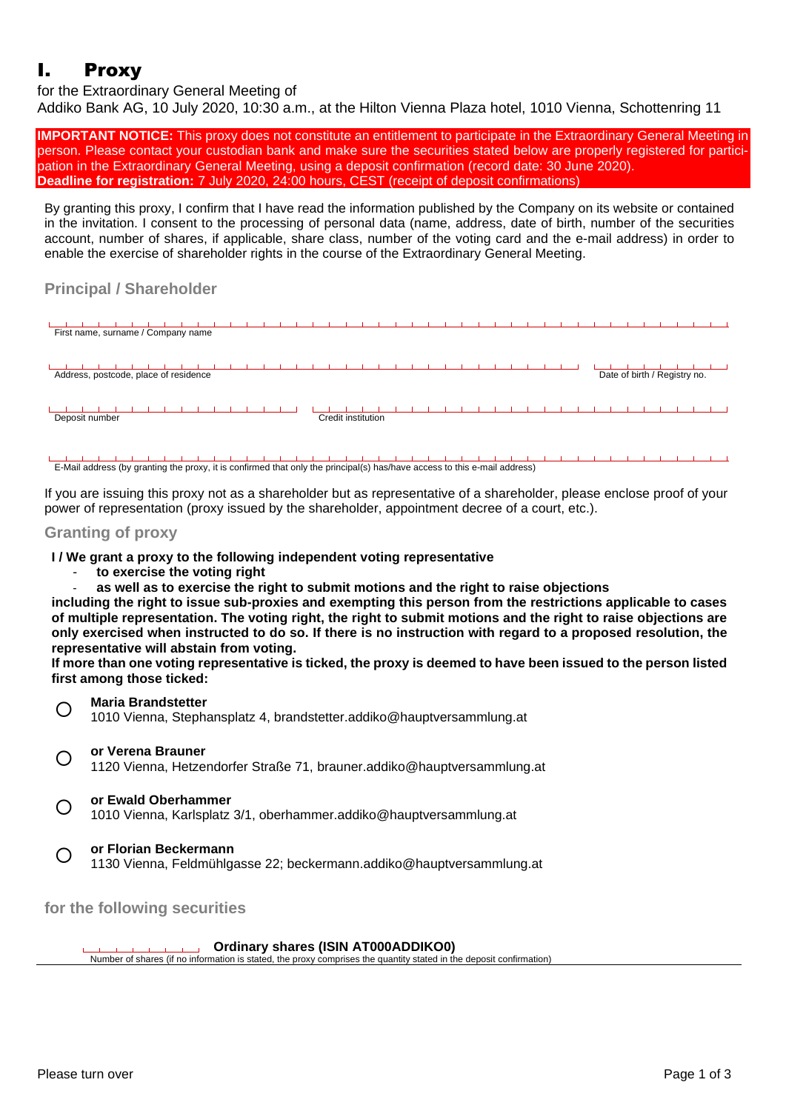# I. Proxy

for the Extraordinary General Meeting of

Addiko Bank AG, 10 July 2020, 10:30 a.m., at the Hilton Vienna Plaza hotel, 1010 Vienna, Schottenring 11

**IMPORTANT NOTICE:** This proxy does not constitute an entitlement to participate in the Extraordinary General Meeting in person. Please contact your custodian bank and make sure the securities stated below are properly registered for participation in the Extraordinary General Meeting, using a deposit confirmation (record date: 30 June 2020). **Deadline for registration:** 7 July 2020, 24:00 hours, CEST (receipt of deposit confirmations)

By granting this proxy, I confirm that I have read the information published by the Company on its website or contained in the invitation. I consent to the processing of personal data (name, address, date of birth, number of the securities account, number of shares, if applicable, share class, number of the voting card and the e-mail address) in order to enable the exercise of shareholder rights in the course of the Extraordinary General Meeting.

## **Principal / Shareholder**



E-Mail address (by granting the proxy, it is confirmed that only the principal(s) has/have access to this e-mail address)

If you are issuing this proxy not as a shareholder but as representative of a shareholder, please enclose proof of your power of representation (proxy issued by the shareholder, appointment decree of a court, etc.).

### **Granting of proxy**

**I / We grant a proxy to the following independent voting representative**

- **to exercise the voting right**
- **as well as to exercise the right to submit motions and the right to raise objections**

**including the right to issue sub-proxies and exempting this person from the restrictions applicable to cases** of multiple representation. The voting right, the right to submit motions and the right to raise objections are only exercised when instructed to do so. If there is no instruction with regard to a proposed resolution, the **representative will abstain from voting.** 

If more than one voting representative is ticked, the proxy is deemed to have been issued to the person listed **first among those ticked:**



 $\bigcirc$ **or Verena Brauner**

1120 Vienna, Hetzendorfer Straße 71, brauner.addiko@hauptversammlung.at

 $\bigcirc$ 

**or Ewald Oberhammer**

1010 Vienna, Karlsplatz 3/1, oberhammer.addiko@hauptversammlung.at

 $\bigcap$ **or Florian Beckermann**

1130 Vienna, Feldmühlgasse 22; beckermann.addiko@hauptversammlung.at

**for the following securities**

 $\mathbf{L}$ 

**Ordinary shares (ISIN AT000ADDIKO0)**  $\mathbf{L}$  $\blacksquare$  $\mathbf{H}$ 

Number of shares (if no information is stated, the proxy comprises the quantity stated in the deposit confirmation)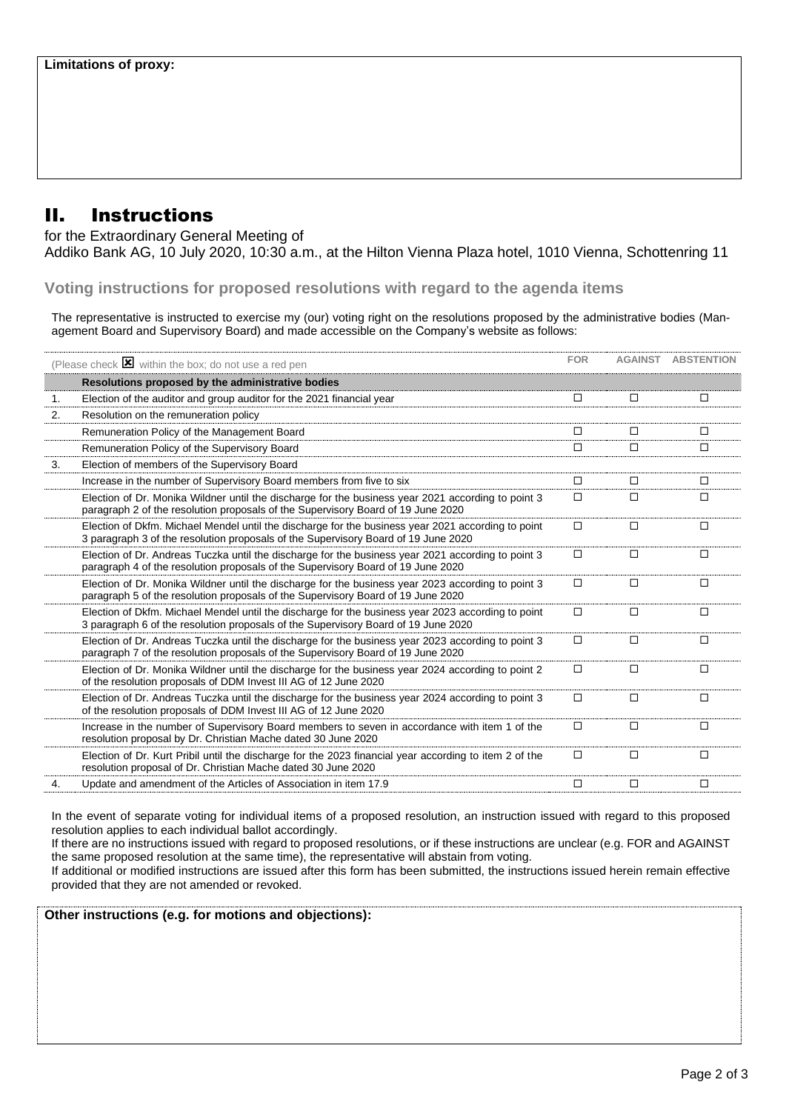# II. Instructions

for the Extraordinary General Meeting of

Addiko Bank AG, 10 July 2020, 10:30 a.m., at the Hilton Vienna Plaza hotel, 1010 Vienna, Schottenring 11

**Voting instructions for proposed resolutions with regard to the agenda items**

The representative is instructed to exercise my (our) voting right on the resolutions proposed by the administrative bodies (Management Board and Supervisory Board) and made accessible on the Company's website as follows:

| (Please check $\triangleright$ within the box; do not use a red pen |                                                                                                                                                                                          | <b>FOR</b> |        | <b>AGAINST ABSTENTION</b> |
|---------------------------------------------------------------------|------------------------------------------------------------------------------------------------------------------------------------------------------------------------------------------|------------|--------|---------------------------|
|                                                                     | Resolutions proposed by the administrative bodies                                                                                                                                        |            |        |                           |
| 1.                                                                  | Election of the auditor and group auditor for the 2021 financial year                                                                                                                    | $\Box$     | □      | □                         |
| 2.                                                                  | Resolution on the remuneration policy                                                                                                                                                    |            |        |                           |
|                                                                     | Remuneration Policy of the Management Board                                                                                                                                              | П          | П      | П                         |
|                                                                     | Remuneration Policy of the Supervisory Board                                                                                                                                             | П          | $\Box$ | $\Box$                    |
| 3.                                                                  | Election of members of the Supervisory Board                                                                                                                                             |            |        |                           |
|                                                                     | Increase in the number of Supervisory Board members from five to six                                                                                                                     | $\Box$     | $\Box$ | $\Box$                    |
|                                                                     | Election of Dr. Monika Wildner until the discharge for the business year 2021 according to point 3<br>paragraph 2 of the resolution proposals of the Supervisory Board of 19 June 2020   | □          | □      | $\Box$                    |
|                                                                     | Election of Dkfm. Michael Mendel until the discharge for the business year 2021 according to point<br>3 paragraph 3 of the resolution proposals of the Supervisory Board of 19 June 2020 | $\Box$     | $\Box$ | $\Box$                    |
|                                                                     | Election of Dr. Andreas Tuczka until the discharge for the business year 2021 according to point 3<br>paragraph 4 of the resolution proposals of the Supervisory Board of 19 June 2020   | □          | $\Box$ | $\Box$                    |
|                                                                     | Election of Dr. Monika Wildner until the discharge for the business year 2023 according to point 3<br>paragraph 5 of the resolution proposals of the Supervisory Board of 19 June 2020   | □          | □      | □                         |
|                                                                     | Election of Dkfm. Michael Mendel until the discharge for the business year 2023 according to point<br>3 paragraph 6 of the resolution proposals of the Supervisory Board of 19 June 2020 | $\Box$     | $\Box$ | $\Box$                    |
|                                                                     | Election of Dr. Andreas Tuczka until the discharge for the business year 2023 according to point 3<br>paragraph 7 of the resolution proposals of the Supervisory Board of 19 June 2020   | □          | $\Box$ | $\Box$                    |
|                                                                     | Election of Dr. Monika Wildner until the discharge for the business year 2024 according to point 2<br>of the resolution proposals of DDM Invest III AG of 12 June 2020                   | □          | □      | П                         |
|                                                                     | Election of Dr. Andreas Tuczka until the discharge for the business year 2024 according to point 3<br>of the resolution proposals of DDM Invest III AG of 12 June 2020                   | $\Box$     | $\Box$ | $\Box$                    |
|                                                                     | Increase in the number of Supervisory Board members to seven in accordance with item 1 of the<br>resolution proposal by Dr. Christian Mache dated 30 June 2020                           | □          | $\Box$ | □                         |
|                                                                     | Election of Dr. Kurt Pribil until the discharge for the 2023 financial year according to item 2 of the<br>resolution proposal of Dr. Christian Mache dated 30 June 2020                  | $\Box$     | $\Box$ | $\Box$                    |
| 4.                                                                  | Update and amendment of the Articles of Association in item 17.9                                                                                                                         | □          | $\Box$ | $\Box$                    |
|                                                                     |                                                                                                                                                                                          |            |        |                           |

In the event of separate voting for individual items of a proposed resolution, an instruction issued with regard to this proposed resolution applies to each individual ballot accordingly.

If there are no instructions issued with regard to proposed resolutions, or if these instructions are unclear (e.g. FOR and AGAINST the same proposed resolution at the same time), the representative will abstain from voting.

If additional or modified instructions are issued after this form has been submitted, the instructions issued herein remain effective provided that they are not amended or revoked.

**Other instructions (e.g. for motions and objections):**